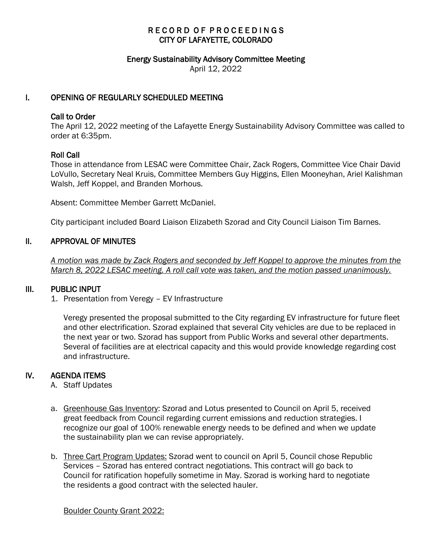# RECORD OF PROCEEDINGS CITY OF LAFAYETTE, COLORADO

#### Energy Sustainability Advisory Committee Meeting

April 12, 2022

## I. OPENING OF REGULARLY SCHEDULED MEETING

#### Call to Order

The April 12, 2022 meeting of the Lafayette Energy Sustainability Advisory Committee was called to order at 6:35pm.

#### Roll Call

Those in attendance from LESAC were Committee Chair, Zack Rogers, Committee Vice Chair David LoVullo, Secretary Neal Kruis, Committee Members Guy Higgins, Ellen Mooneyhan, Ariel Kalishman Walsh, Jeff Koppel, and Branden Morhous.

Absent: Committee Member Garrett McDaniel.

City participant included Board Liaison Elizabeth Szorad and City Council Liaison Tim Barnes.

### II. APPROVAL OF MINUTES

 *A motion was made by Zack Rogers and seconded by Jeff Koppel to approve the minutes from the March 8, 2022 LESAC meeting. A roll call vote was taken, and the motion passed unanimously.*

#### III. PUBLIC INPUT

1. Presentation from Veregy – EV Infrastructure

Veregy presented the proposal submitted to the City regarding EV infrastructure for future fleet and other electrification. Szorad explained that several City vehicles are due to be replaced in the next year or two. Szorad has support from Public Works and several other departments. Several of facilities are at electrical capacity and this would provide knowledge regarding cost and infrastructure.

# IV. AGENDA ITEMS

- A. Staff Updates
- a. Greenhouse Gas Inventory: Szorad and Lotus presented to Council on April 5, received great feedback from Council regarding current emissions and reduction strategies. I recognize our goal of 100% renewable energy needs to be defined and when we update the sustainability plan we can revise appropriately.
- b. Three Cart Program Updates: Szorad went to council on April 5, Council chose Republic Services – Szorad has entered contract negotiations. This contract will go back to Council for ratification hopefully sometime in May. Szorad is working hard to negotiate the residents a good contract with the selected hauler.

Boulder County Grant 2022: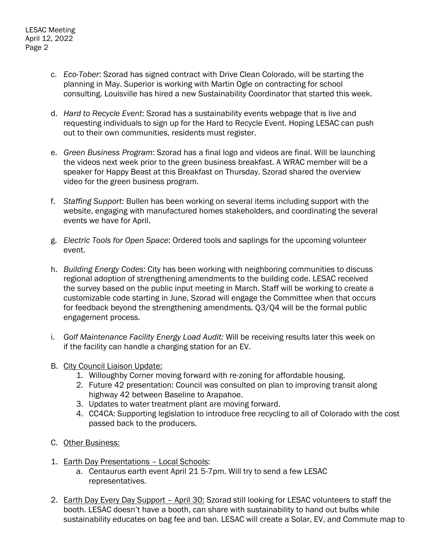- c. *Eco-Tober*: Szorad has signed contract with Drive Clean Colorado, will be starting the planning in May. Superior is working with Martin Ogle on contracting for school consulting. Louisville has hired a new Sustainability Coordinator that started this week.
- d. *Hard to Recycle Event*: Szorad has a sustainability events webpage that is live and requesting individuals to sign up for the Hard to Recycle Event. Hoping LESAC can push out to their own communities, residents must register.
- e. *Green Business Program*: Szorad has a final logo and videos are final. Will be launching the videos next week prior to the green business breakfast. A WRAC member will be a speaker for Happy Beast at this Breakfast on Thursday. Szorad shared the overview video for the green business program.
- f. *Staffing Support:* Bullen has been working on several items including support with the website, engaging with manufactured homes stakeholders, and coordinating the several events we have for April.
- g. *Electric Tools for Open Space*: Ordered tools and saplings for the upcoming volunteer event.
- h. *Building Energy Codes*: City has been working with neighboring communities to discuss regional adoption of strengthening amendments to the building code. LESAC received the survey based on the public input meeting in March. Staff will be working to create a customizable code starting in June, Szorad will engage the Committee when that occurs for feedback beyond the strengthening amendments. Q3/Q4 will be the formal public engagement process.
- i. *Golf Maintenance Facility Energy Load Audit:* Will be receiving results later this week on if the facility can handle a charging station for an EV.
- B. City Council Liaison Update:
	- 1. Willoughby Corner moving forward with re-zoning for affordable housing.
	- 2. Future 42 presentation: Council was consulted on plan to improving transit along highway 42 between Baseline to Arapahoe.
	- 3. Updates to water treatment plant are moving forward.
	- 4. CC4CA: Supporting legislation to introduce free recycling to all of Colorado with the cost passed back to the producers.
- C. Other Business:
- 1. Earth Day Presentations Local Schools:
	- a. Centaurus earth event April 21 5-7pm. Will try to send a few LESAC representatives.
- 2. Earth Day Every Day Support April 30: Szorad still looking for LESAC volunteers to staff the booth. LESAC doesn't have a booth, can share with sustainability to hand out bulbs while sustainability educates on bag fee and ban. LESAC will create a Solar, EV, and Commute map to